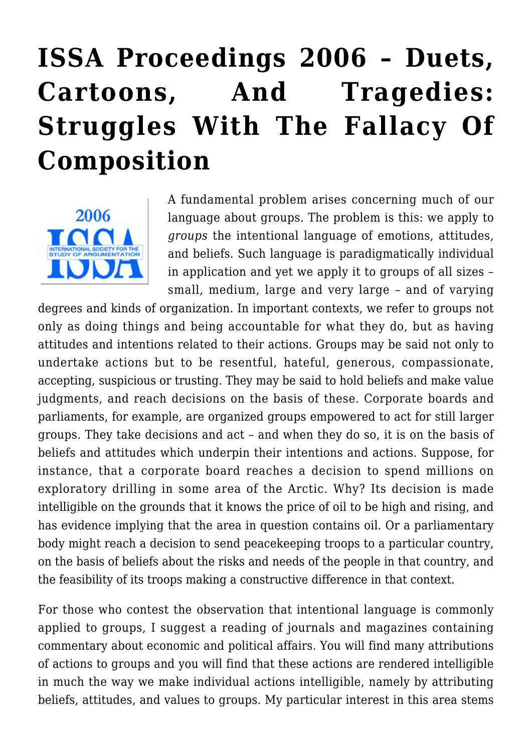# **[ISSA Proceedings 2006 – Duets,](https://rozenbergquarterly.com/issa-proceedings-2006-duets-cartoons-and-tragedies-struggles-with-the-fallacy-of-composition/) [Cartoons, And Tragedies:](https://rozenbergquarterly.com/issa-proceedings-2006-duets-cartoons-and-tragedies-struggles-with-the-fallacy-of-composition/) [Struggles With The Fallacy Of](https://rozenbergquarterly.com/issa-proceedings-2006-duets-cartoons-and-tragedies-struggles-with-the-fallacy-of-composition/) [Composition](https://rozenbergquarterly.com/issa-proceedings-2006-duets-cartoons-and-tragedies-struggles-with-the-fallacy-of-composition/)**



A fundamental problem arises concerning much of our language about groups. The problem is this: we apply to *groups* the intentional language of emotions, attitudes, and beliefs. Such language is paradigmatically individual in application and yet we apply it to groups of all sizes – small, medium, large and very large – and of varying

degrees and kinds of organization. In important contexts, we refer to groups not only as doing things and being accountable for what they do, but as having attitudes and intentions related to their actions. Groups may be said not only to undertake actions but to be resentful, hateful, generous, compassionate, accepting, suspicious or trusting. They may be said to hold beliefs and make value judgments, and reach decisions on the basis of these. Corporate boards and parliaments, for example, are organized groups empowered to act for still larger groups. They take decisions and act – and when they do so, it is on the basis of beliefs and attitudes which underpin their intentions and actions. Suppose, for instance, that a corporate board reaches a decision to spend millions on exploratory drilling in some area of the Arctic. Why? Its decision is made intelligible on the grounds that it knows the price of oil to be high and rising, and has evidence implying that the area in question contains oil. Or a parliamentary body might reach a decision to send peacekeeping troops to a particular country, on the basis of beliefs about the risks and needs of the people in that country, and the feasibility of its troops making a constructive difference in that context.

For those who contest the observation that intentional language is commonly applied to groups, I suggest a reading of journals and magazines containing commentary about economic and political affairs. You will find many attributions of actions to groups and you will find that these actions are rendered intelligible in much the way we make individual actions intelligible, namely by attributing beliefs, attitudes, and values to groups. My particular interest in this area stems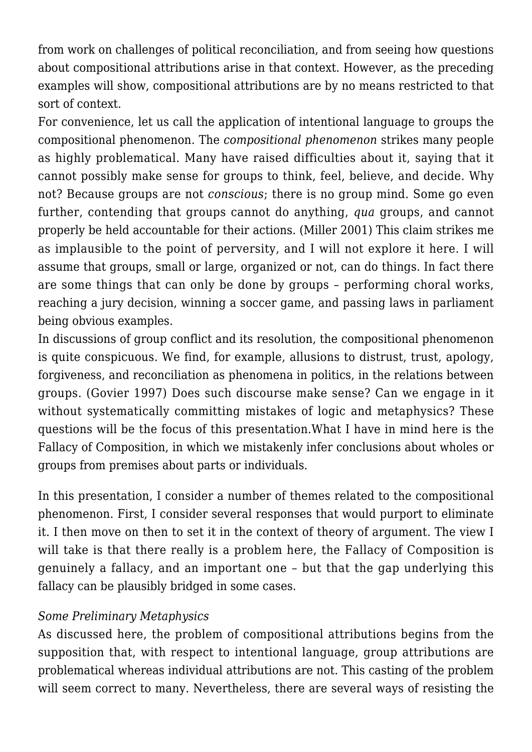from work on challenges of political reconciliation, and from seeing how questions about compositional attributions arise in that context. However, as the preceding examples will show, compositional attributions are by no means restricted to that sort of context.

For convenience, let us call the application of intentional language to groups the compositional phenomenon. The *compositional phenomenon* strikes many people as highly problematical. Many have raised difficulties about it, saying that it cannot possibly make sense for groups to think, feel, believe, and decide. Why not? Because groups are not *conscious*; there is no group mind. Some go even further, contending that groups cannot do anything, *qua* groups, and cannot properly be held accountable for their actions. (Miller 2001) This claim strikes me as implausible to the point of perversity, and I will not explore it here. I will assume that groups, small or large, organized or not, can do things. In fact there are some things that can only be done by groups – performing choral works, reaching a jury decision, winning a soccer game, and passing laws in parliament being obvious examples.

In discussions of group conflict and its resolution, the compositional phenomenon is quite conspicuous. We find, for example, allusions to distrust, trust, apology, forgiveness, and reconciliation as phenomena in politics, in the relations between groups. (Govier 1997) Does such discourse make sense? Can we engage in it without systematically committing mistakes of logic and metaphysics? These questions will be the focus of this presentation.What I have in mind here is the Fallacy of Composition, in which we mistakenly infer conclusions about wholes or groups from premises about parts or individuals.

In this presentation, I consider a number of themes related to the compositional phenomenon. First, I consider several responses that would purport to eliminate it. I then move on then to set it in the context of theory of argument. The view I will take is that there really is a problem here, the Fallacy of Composition is genuinely a fallacy, and an important one – but that the gap underlying this fallacy can be plausibly bridged in some cases.

## *Some Preliminary Metaphysics*

As discussed here, the problem of compositional attributions begins from the supposition that, with respect to intentional language, group attributions are problematical whereas individual attributions are not. This casting of the problem will seem correct to many. Nevertheless, there are several ways of resisting the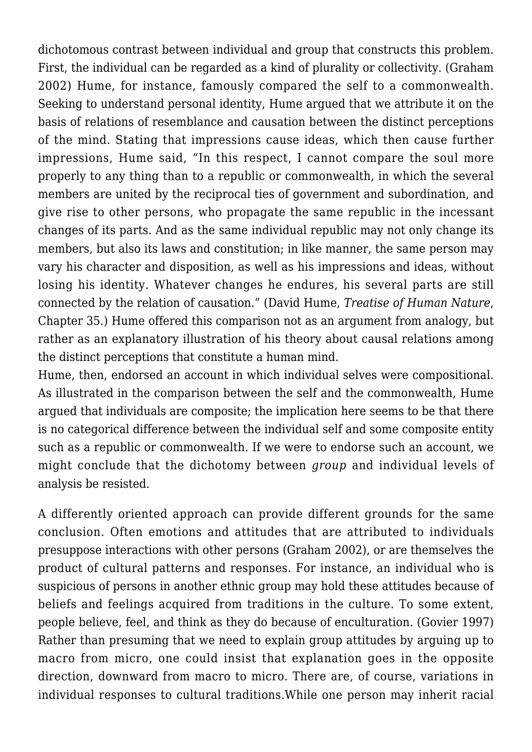dichotomous contrast between individual and group that constructs this problem. First, the individual can be regarded as a kind of plurality or collectivity. (Graham 2002) Hume, for instance, famously compared the self to a commonwealth. Seeking to understand personal identity, Hume argued that we attribute it on the basis of relations of resemblance and causation between the distinct perceptions of the mind. Stating that impressions cause ideas, which then cause further impressions, Hume said, "In this respect, I cannot compare the soul more properly to any thing than to a republic or commonwealth, in which the several members are united by the reciprocal ties of government and subordination, and give rise to other persons, who propagate the same republic in the incessant changes of its parts. And as the same individual republic may not only change its members, but also its laws and constitution; in like manner, the same person may vary his character and disposition, as well as his impressions and ideas, without losing his identity. Whatever changes he endures, his several parts are still connected by the relation of causation." (David Hume, *Treatise of Human Nature*, Chapter 35.) Hume offered this comparison not as an argument from analogy, but rather as an explanatory illustration of his theory about causal relations among the distinct perceptions that constitute a human mind.

Hume, then, endorsed an account in which individual selves were compositional. As illustrated in the comparison between the self and the commonwealth, Hume argued that individuals are composite; the implication here seems to be that there is no categorical difference between the individual self and some composite entity such as a republic or commonwealth. If we were to endorse such an account, we might conclude that the dichotomy between *group* and individual levels of analysis be resisted.

A differently oriented approach can provide different grounds for the same conclusion. Often emotions and attitudes that are attributed to individuals presuppose interactions with other persons (Graham 2002), or are themselves the product of cultural patterns and responses. For instance, an individual who is suspicious of persons in another ethnic group may hold these attitudes because of beliefs and feelings acquired from traditions in the culture. To some extent, people believe, feel, and think as they do because of enculturation. (Govier 1997) Rather than presuming that we need to explain group attitudes by arguing up to macro from micro, one could insist that explanation goes in the opposite direction, downward from macro to micro. There are, of course, variations in individual responses to cultural traditions.While one person may inherit racial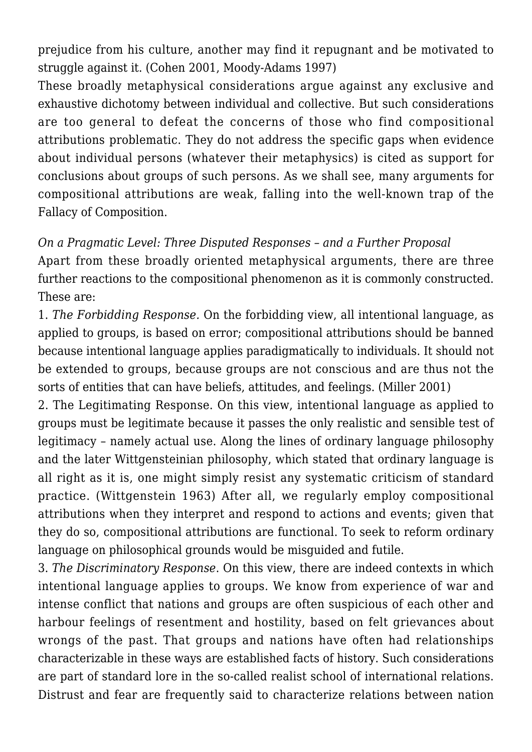prejudice from his culture, another may find it repugnant and be motivated to struggle against it. (Cohen 2001, Moody-Adams 1997)

These broadly metaphysical considerations argue against any exclusive and exhaustive dichotomy between individual and collective. But such considerations are too general to defeat the concerns of those who find compositional attributions problematic. They do not address the specific gaps when evidence about individual persons (whatever their metaphysics) is cited as support for conclusions about groups of such persons. As we shall see, many arguments for compositional attributions are weak, falling into the well-known trap of the Fallacy of Composition.

*On a Pragmatic Level: Three Disputed Responses – and a Further Proposal*

Apart from these broadly oriented metaphysical arguments, there are three further reactions to the compositional phenomenon as it is commonly constructed. These are:

1. *The Forbidding Response.* On the forbidding view, all intentional language, as applied to groups, is based on error; compositional attributions should be banned because intentional language applies paradigmatically to individuals. It should not be extended to groups, because groups are not conscious and are thus not the sorts of entities that can have beliefs, attitudes, and feelings. (Miller 2001)

2. The Legitimating Response. On this view, intentional language as applied to groups must be legitimate because it passes the only realistic and sensible test of legitimacy – namely actual use. Along the lines of ordinary language philosophy and the later Wittgensteinian philosophy, which stated that ordinary language is all right as it is, one might simply resist any systematic criticism of standard practice. (Wittgenstein 1963) After all, we regularly employ compositional attributions when they interpret and respond to actions and events; given that they do so, compositional attributions are functional. To seek to reform ordinary language on philosophical grounds would be misguided and futile.

3. *The Discriminatory Response*. On this view, there are indeed contexts in which intentional language applies to groups. We know from experience of war and intense conflict that nations and groups are often suspicious of each other and harbour feelings of resentment and hostility, based on felt grievances about wrongs of the past. That groups and nations have often had relationships characterizable in these ways are established facts of history. Such considerations are part of standard lore in the so-called realist school of international relations. Distrust and fear are frequently said to characterize relations between nation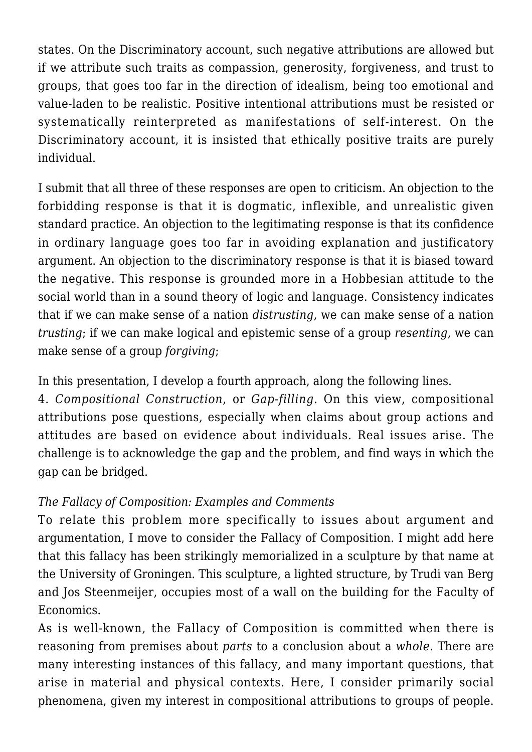states. On the Discriminatory account, such negative attributions are allowed but if we attribute such traits as compassion, generosity, forgiveness, and trust to groups, that goes too far in the direction of idealism, being too emotional and value-laden to be realistic. Positive intentional attributions must be resisted or systematically reinterpreted as manifestations of self-interest. On the Discriminatory account, it is insisted that ethically positive traits are purely individual.

I submit that all three of these responses are open to criticism. An objection to the forbidding response is that it is dogmatic, inflexible, and unrealistic given standard practice. An objection to the legitimating response is that its confidence in ordinary language goes too far in avoiding explanation and justificatory argument. An objection to the discriminatory response is that it is biased toward the negative. This response is grounded more in a Hobbesian attitude to the social world than in a sound theory of logic and language. Consistency indicates that if we can make sense of a nation *distrusting*, we can make sense of a nation *trusting*; if we can make logical and epistemic sense of a group *resenting*, we can make sense of a group *forgiving*;

In this presentation, I develop a fourth approach, along the following lines.

4. *Compositional Construction*, or *Gap-filling*. On this view, compositional attributions pose questions, especially when claims about group actions and attitudes are based on evidence about individuals. Real issues arise. The challenge is to acknowledge the gap and the problem, and find ways in which the gap can be bridged.

## *The Fallacy of Composition: Examples and Comments*

To relate this problem more specifically to issues about argument and argumentation, I move to consider the Fallacy of Composition. I might add here that this fallacy has been strikingly memorialized in a sculpture by that name at the University of Groningen. This sculpture, a lighted structure, by Trudi van Berg and Jos Steenmeijer, occupies most of a wall on the building for the Faculty of Economics.

As is well-known, the Fallacy of Composition is committed when there is reasoning from premises about *parts* to a conclusion about a *whole.* There are many interesting instances of this fallacy, and many important questions, that arise in material and physical contexts. Here, I consider primarily social phenomena, given my interest in compositional attributions to groups of people.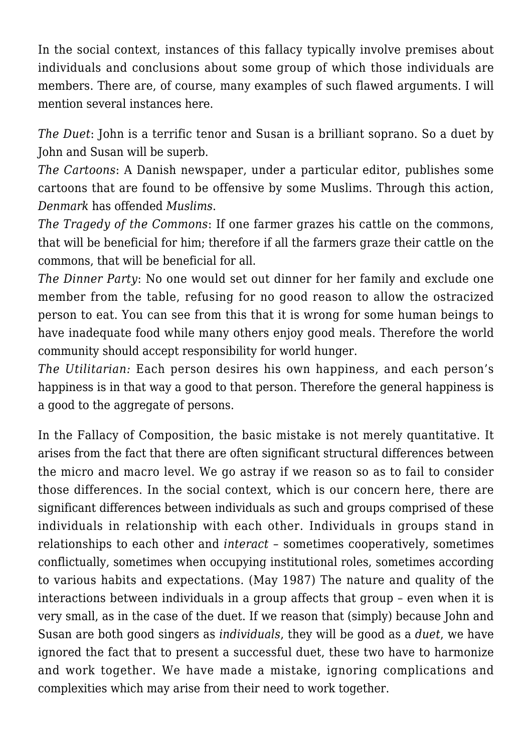In the social context, instances of this fallacy typically involve premises about individuals and conclusions about some group of which those individuals are members. There are, of course, many examples of such flawed arguments. I will mention several instances here.

*The Duet*: John is a terrific tenor and Susan is a brilliant soprano. So a duet by John and Susan will be superb.

*The Cartoons*: A Danish newspaper, under a particular editor, publishes some cartoons that are found to be offensive by some Muslims. Through this action, *Denmark* has offended *Muslims*.

*The Tragedy of the Commons*: If one farmer grazes his cattle on the commons, that will be beneficial for him; therefore if all the farmers graze their cattle on the commons, that will be beneficial for all.

*The Dinner Party*: No one would set out dinner for her family and exclude one member from the table, refusing for no good reason to allow the ostracized person to eat. You can see from this that it is wrong for some human beings to have inadequate food while many others enjoy good meals. Therefore the world community should accept responsibility for world hunger.

*The Utilitarian:* Each person desires his own happiness, and each person's happiness is in that way a good to that person. Therefore the general happiness is a good to the aggregate of persons.

In the Fallacy of Composition, the basic mistake is not merely quantitative. It arises from the fact that there are often significant structural differences between the micro and macro level. We go astray if we reason so as to fail to consider those differences. In the social context, which is our concern here, there are significant differences between individuals as such and groups comprised of these individuals in relationship with each other. Individuals in groups stand in relationships to each other and *interact* – sometimes cooperatively, sometimes conflictually, sometimes when occupying institutional roles, sometimes according to various habits and expectations. (May 1987) The nature and quality of the interactions between individuals in a group affects that group – even when it is very small, as in the case of the duet. If we reason that (simply) because John and Susan are both good singers as *individuals*, they will be good as a *duet*, we have ignored the fact that to present a successful duet, these two have to harmonize and work together. We have made a mistake, ignoring complications and complexities which may arise from their need to work together.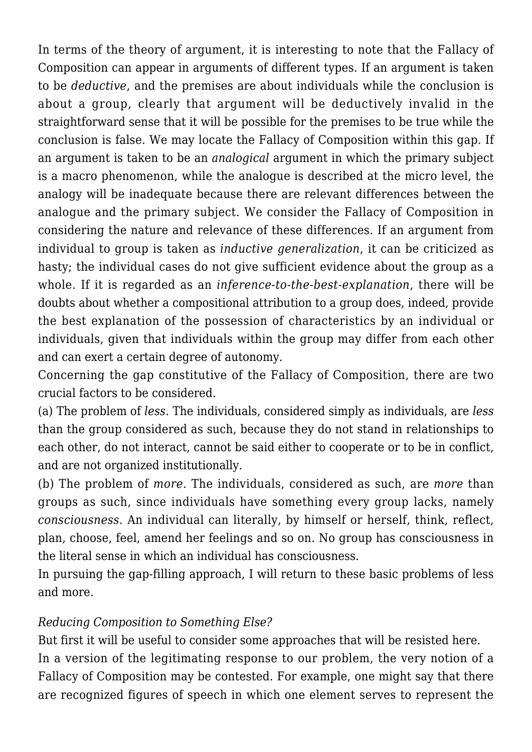In terms of the theory of argument, it is interesting to note that the Fallacy of Composition can appear in arguments of different types. If an argument is taken to be *deductive*, and the premises are about individuals while the conclusion is about a group, clearly that argument will be deductively invalid in the straightforward sense that it will be possible for the premises to be true while the conclusion is false. We may locate the Fallacy of Composition within this gap. If an argument is taken to be an *analogical* argument in which the primary subject is a macro phenomenon, while the analogue is described at the micro level, the analogy will be inadequate because there are relevant differences between the analogue and the primary subject. We consider the Fallacy of Composition in considering the nature and relevance of these differences. If an argument from individual to group is taken as *inductive generalization*, it can be criticized as hasty; the individual cases do not give sufficient evidence about the group as a whole. If it is regarded as an *inference-to-the-best-explanation*, there will be doubts about whether a compositional attribution to a group does, indeed, provide the best explanation of the possession of characteristics by an individual or individuals, given that individuals within the group may differ from each other and can exert a certain degree of autonomy.

Concerning the gap constitutive of the Fallacy of Composition, there are two crucial factors to be considered.

(a) The problem of *less*. The individuals, considered simply as individuals, are *less* than the group considered as such, because they do not stand in relationships to each other, do not interact, cannot be said either to cooperate or to be in conflict, and are not organized institutionally.

(b) The problem of *more*. The individuals, considered as such, are *more* than groups as such, since individuals have something every group lacks, namely *consciousness*. An individual can literally, by himself or herself, think, reflect, plan, choose, feel, amend her feelings and so on. No group has consciousness in the literal sense in which an individual has consciousness.

In pursuing the gap-filling approach, I will return to these basic problems of less and more.

## *Reducing Composition to Something Else?*

But first it will be useful to consider some approaches that will be resisted here. In a version of the legitimating response to our problem, the very notion of a Fallacy of Composition may be contested. For example, one might say that there are recognized figures of speech in which one element serves to represent the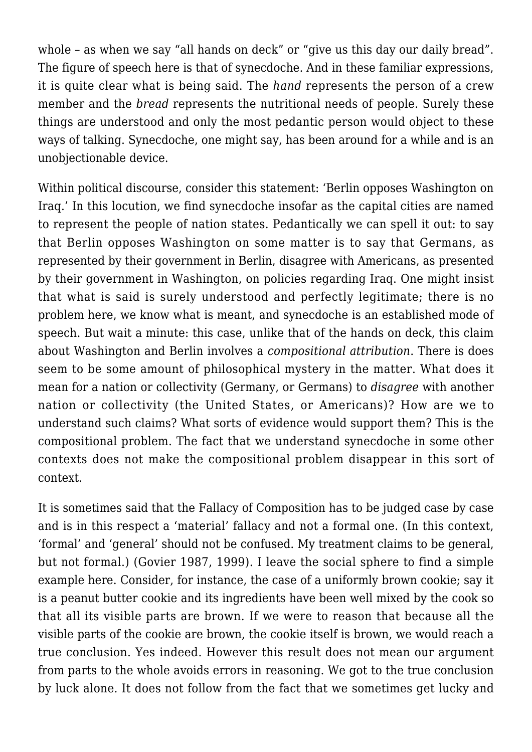whole - as when we say "all hands on deck" or "give us this day our daily bread". The figure of speech here is that of synecdoche. And in these familiar expressions, it is quite clear what is being said. The *hand* represents the person of a crew member and the *bread* represents the nutritional needs of people. Surely these things are understood and only the most pedantic person would object to these ways of talking. Synecdoche, one might say, has been around for a while and is an unobjectionable device.

Within political discourse, consider this statement: 'Berlin opposes Washington on Iraq.' In this locution, we find synecdoche insofar as the capital cities are named to represent the people of nation states. Pedantically we can spell it out: to say that Berlin opposes Washington on some matter is to say that Germans, as represented by their government in Berlin, disagree with Americans, as presented by their government in Washington, on policies regarding Iraq. One might insist that what is said is surely understood and perfectly legitimate; there is no problem here, we know what is meant, and synecdoche is an established mode of speech. But wait a minute: this case, unlike that of the hands on deck, this claim about Washington and Berlin involves a *compositional attribution*. There is does seem to be some amount of philosophical mystery in the matter. What does it mean for a nation or collectivity (Germany, or Germans) to *disagree* with another nation or collectivity (the United States, or Americans)? How are we to understand such claims? What sorts of evidence would support them? This is the compositional problem. The fact that we understand synecdoche in some other contexts does not make the compositional problem disappear in this sort of context.

It is sometimes said that the Fallacy of Composition has to be judged case by case and is in this respect a 'material' fallacy and not a formal one. (In this context, 'formal' and 'general' should not be confused. My treatment claims to be general, but not formal.) (Govier 1987, 1999). I leave the social sphere to find a simple example here. Consider, for instance, the case of a uniformly brown cookie; say it is a peanut butter cookie and its ingredients have been well mixed by the cook so that all its visible parts are brown. If we were to reason that because all the visible parts of the cookie are brown, the cookie itself is brown, we would reach a true conclusion. Yes indeed. However this result does not mean our argument from parts to the whole avoids errors in reasoning. We got to the true conclusion by luck alone. It does not follow from the fact that we sometimes get lucky and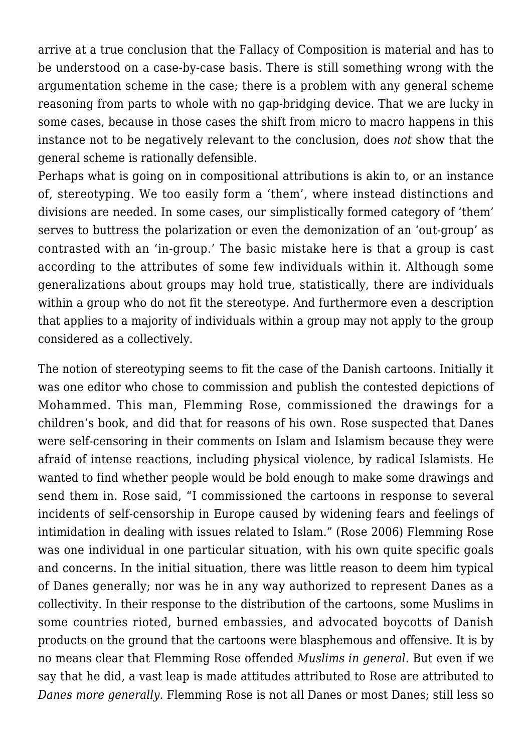arrive at a true conclusion that the Fallacy of Composition is material and has to be understood on a case-by-case basis. There is still something wrong with the argumentation scheme in the case; there is a problem with any general scheme reasoning from parts to whole with no gap-bridging device. That we are lucky in some cases, because in those cases the shift from micro to macro happens in this instance not to be negatively relevant to the conclusion, does *not* show that the general scheme is rationally defensible.

Perhaps what is going on in compositional attributions is akin to, or an instance of, stereotyping. We too easily form a 'them', where instead distinctions and divisions are needed. In some cases, our simplistically formed category of 'them' serves to buttress the polarization or even the demonization of an 'out-group' as contrasted with an 'in-group.' The basic mistake here is that a group is cast according to the attributes of some few individuals within it. Although some generalizations about groups may hold true, statistically, there are individuals within a group who do not fit the stereotype. And furthermore even a description that applies to a majority of individuals within a group may not apply to the group considered as a collectively.

The notion of stereotyping seems to fit the case of the Danish cartoons. Initially it was one editor who chose to commission and publish the contested depictions of Mohammed. This man, Flemming Rose, commissioned the drawings for a children's book, and did that for reasons of his own. Rose suspected that Danes were self-censoring in their comments on Islam and Islamism because they were afraid of intense reactions, including physical violence, by radical Islamists. He wanted to find whether people would be bold enough to make some drawings and send them in. Rose said, "I commissioned the cartoons in response to several incidents of self-censorship in Europe caused by widening fears and feelings of intimidation in dealing with issues related to Islam." (Rose 2006) Flemming Rose was one individual in one particular situation, with his own quite specific goals and concerns. In the initial situation, there was little reason to deem him typical of Danes generally; nor was he in any way authorized to represent Danes as a collectivity. In their response to the distribution of the cartoons, some Muslims in some countries rioted, burned embassies, and advocated boycotts of Danish products on the ground that the cartoons were blasphemous and offensive. It is by no means clear that Flemming Rose offended *Muslims in general*. But even if we say that he did, a vast leap is made attitudes attributed to Rose are attributed to *Danes more generally*. Flemming Rose is not all Danes or most Danes; still less so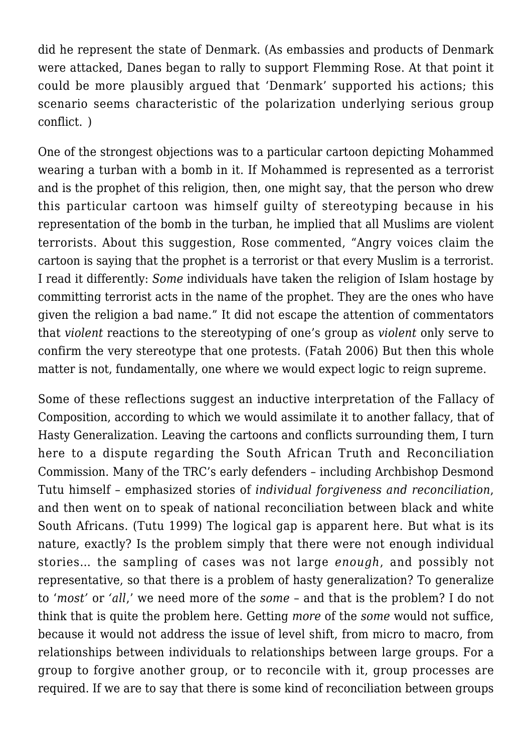did he represent the state of Denmark. (As embassies and products of Denmark were attacked, Danes began to rally to support Flemming Rose. At that point it could be more plausibly argued that 'Denmark' supported his actions; this scenario seems characteristic of the polarization underlying serious group conflict. )

One of the strongest objections was to a particular cartoon depicting Mohammed wearing a turban with a bomb in it. If Mohammed is represented as a terrorist and is the prophet of this religion, then, one might say, that the person who drew this particular cartoon was himself guilty of stereotyping because in his representation of the bomb in the turban, he implied that all Muslims are violent terrorists. About this suggestion, Rose commented, "Angry voices claim the cartoon is saying that the prophet is a terrorist or that every Muslim is a terrorist. I read it differently: *Some* individuals have taken the religion of Islam hostage by committing terrorist acts in the name of the prophet. They are the ones who have given the religion a bad name." It did not escape the attention of commentators that *violent* reactions to the stereotyping of one's group as *violent* only serve to confirm the very stereotype that one protests. (Fatah 2006) But then this whole matter is not, fundamentally, one where we would expect logic to reign supreme.

Some of these reflections suggest an inductive interpretation of the Fallacy of Composition, according to which we would assimilate it to another fallacy, that of Hasty Generalization. Leaving the cartoons and conflicts surrounding them, I turn here to a dispute regarding the South African Truth and Reconciliation Commission. Many of the TRC's early defenders – including Archbishop Desmond Tutu himself – emphasized stories of *individual forgiveness and reconciliation*, and then went on to speak of national reconciliation between black and white South Africans. (Tutu 1999) The logical gap is apparent here. But what is its nature, exactly? Is the problem simply that there were not enough individual stories… the sampling of cases was not large *enough*, and possibly not representative, so that there is a problem of hasty generalization? To generalize to '*most'* or *'all*,' we need more of the *some* – and that is the problem? I do not think that is quite the problem here. Getting *more* of the *some* would not suffice, because it would not address the issue of level shift, from micro to macro, from relationships between individuals to relationships between large groups. For a group to forgive another group, or to reconcile with it, group processes are required. If we are to say that there is some kind of reconciliation between groups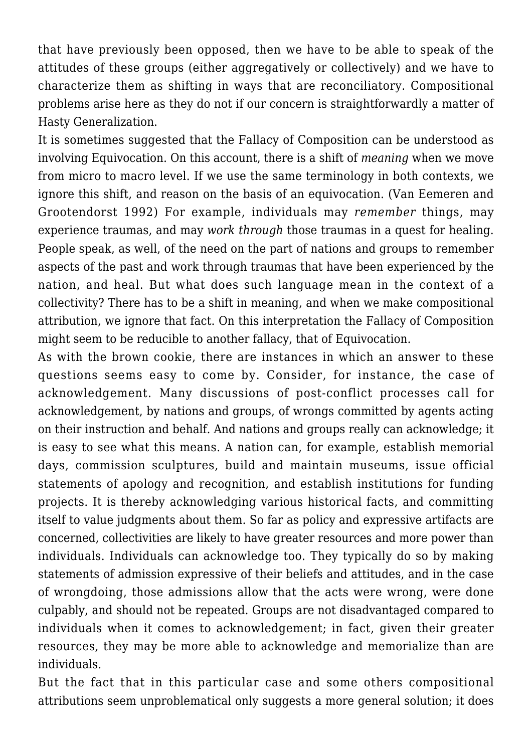that have previously been opposed, then we have to be able to speak of the attitudes of these groups (either aggregatively or collectively) and we have to characterize them as shifting in ways that are reconciliatory. Compositional problems arise here as they do not if our concern is straightforwardly a matter of Hasty Generalization.

It is sometimes suggested that the Fallacy of Composition can be understood as involving Equivocation. On this account, there is a shift of *meaning* when we move from micro to macro level. If we use the same terminology in both contexts, we ignore this shift, and reason on the basis of an equivocation. (Van Eemeren and Grootendorst 1992) For example, individuals may *remember* things, may experience traumas, and may *work through* those traumas in a quest for healing. People speak, as well, of the need on the part of nations and groups to remember aspects of the past and work through traumas that have been experienced by the nation, and heal. But what does such language mean in the context of a collectivity? There has to be a shift in meaning, and when we make compositional attribution, we ignore that fact. On this interpretation the Fallacy of Composition might seem to be reducible to another fallacy, that of Equivocation.

As with the brown cookie, there are instances in which an answer to these questions seems easy to come by. Consider, for instance, the case of acknowledgement. Many discussions of post-conflict processes call for acknowledgement, by nations and groups, of wrongs committed by agents acting on their instruction and behalf. And nations and groups really can acknowledge; it is easy to see what this means. A nation can, for example, establish memorial days, commission sculptures, build and maintain museums, issue official statements of apology and recognition, and establish institutions for funding projects. It is thereby acknowledging various historical facts, and committing itself to value judgments about them. So far as policy and expressive artifacts are concerned, collectivities are likely to have greater resources and more power than individuals. Individuals can acknowledge too. They typically do so by making statements of admission expressive of their beliefs and attitudes, and in the case of wrongdoing, those admissions allow that the acts were wrong, were done culpably, and should not be repeated. Groups are not disadvantaged compared to individuals when it comes to acknowledgement; in fact, given their greater resources, they may be more able to acknowledge and memorialize than are individuals.

But the fact that in this particular case and some others compositional attributions seem unproblematical only suggests a more general solution; it does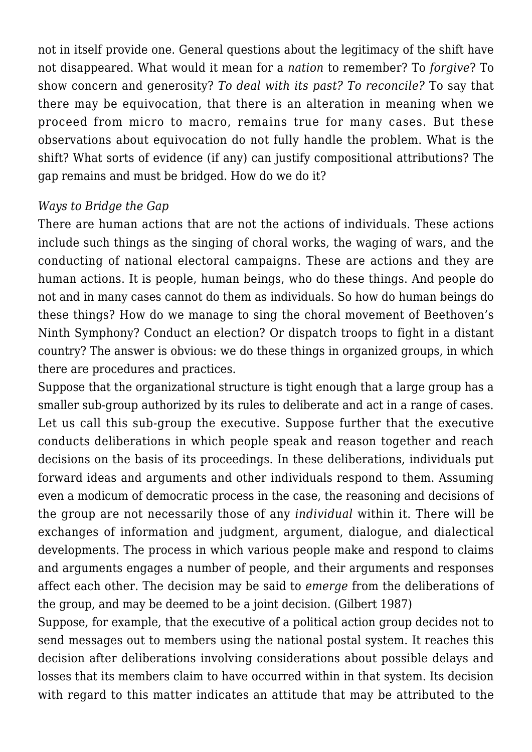not in itself provide one. General questions about the legitimacy of the shift have not disappeared. What would it mean for a *nation* to remember? To *forgive*? To show concern and generosity? *To deal with its past? To reconcile?* To say that there may be equivocation, that there is an alteration in meaning when we proceed from micro to macro, remains true for many cases. But these observations about equivocation do not fully handle the problem. What is the shift? What sorts of evidence (if any) can justify compositional attributions? The gap remains and must be bridged. How do we do it?

#### *Ways to Bridge the Gap*

There are human actions that are not the actions of individuals. These actions include such things as the singing of choral works, the waging of wars, and the conducting of national electoral campaigns. These are actions and they are human actions. It is people, human beings, who do these things. And people do not and in many cases cannot do them as individuals. So how do human beings do these things? How do we manage to sing the choral movement of Beethoven's Ninth Symphony? Conduct an election? Or dispatch troops to fight in a distant country? The answer is obvious: we do these things in organized groups, in which there are procedures and practices.

Suppose that the organizational structure is tight enough that a large group has a smaller sub-group authorized by its rules to deliberate and act in a range of cases. Let us call this sub-group the executive. Suppose further that the executive conducts deliberations in which people speak and reason together and reach decisions on the basis of its proceedings. In these deliberations, individuals put forward ideas and arguments and other individuals respond to them. Assuming even a modicum of democratic process in the case, the reasoning and decisions of the group are not necessarily those of any *individual* within it. There will be exchanges of information and judgment, argument, dialogue, and dialectical developments. The process in which various people make and respond to claims and arguments engages a number of people, and their arguments and responses affect each other. The decision may be said to *emerge* from the deliberations of the group, and may be deemed to be a joint decision. (Gilbert 1987)

Suppose, for example, that the executive of a political action group decides not to send messages out to members using the national postal system. It reaches this decision after deliberations involving considerations about possible delays and losses that its members claim to have occurred within in that system. Its decision with regard to this matter indicates an attitude that may be attributed to the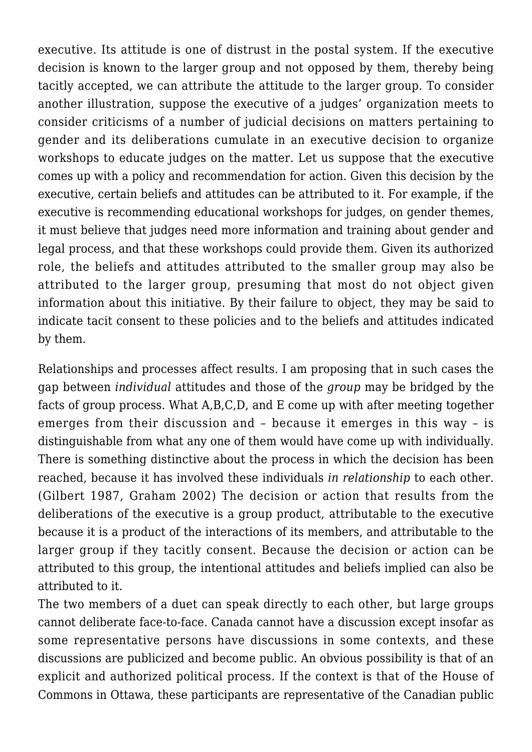executive. Its attitude is one of distrust in the postal system. If the executive decision is known to the larger group and not opposed by them, thereby being tacitly accepted, we can attribute the attitude to the larger group. To consider another illustration, suppose the executive of a judges' organization meets to consider criticisms of a number of judicial decisions on matters pertaining to gender and its deliberations cumulate in an executive decision to organize workshops to educate judges on the matter. Let us suppose that the executive comes up with a policy and recommendation for action. Given this decision by the executive, certain beliefs and attitudes can be attributed to it. For example, if the executive is recommending educational workshops for judges, on gender themes, it must believe that judges need more information and training about gender and legal process, and that these workshops could provide them. Given its authorized role, the beliefs and attitudes attributed to the smaller group may also be attributed to the larger group, presuming that most do not object given information about this initiative. By their failure to object, they may be said to indicate tacit consent to these policies and to the beliefs and attitudes indicated by them.

Relationships and processes affect results. I am proposing that in such cases the gap between *individual* attitudes and those of the *group* may be bridged by the facts of group process. What A,B,C,D, and E come up with after meeting together emerges from their discussion and – because it emerges in this way – is distinguishable from what any one of them would have come up with individually. There is something distinctive about the process in which the decision has been reached, because it has involved these individuals *in relationship* to each other. (Gilbert 1987, Graham 2002) The decision or action that results from the deliberations of the executive is a group product, attributable to the executive because it is a product of the interactions of its members, and attributable to the larger group if they tacitly consent. Because the decision or action can be attributed to this group, the intentional attitudes and beliefs implied can also be attributed to it.

The two members of a duet can speak directly to each other, but large groups cannot deliberate face-to-face. Canada cannot have a discussion except insofar as some representative persons have discussions in some contexts, and these discussions are publicized and become public. An obvious possibility is that of an explicit and authorized political process. If the context is that of the House of Commons in Ottawa, these participants are representative of the Canadian public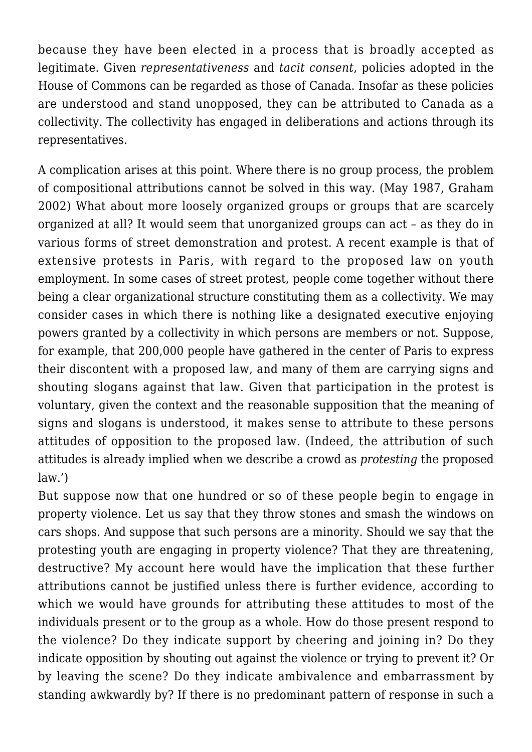because they have been elected in a process that is broadly accepted as legitimate. Given *representativeness* and *tacit consent*, policies adopted in the House of Commons can be regarded as those of Canada. Insofar as these policies are understood and stand unopposed, they can be attributed to Canada as a collectivity. The collectivity has engaged in deliberations and actions through its representatives.

A complication arises at this point. Where there is no group process, the problem of compositional attributions cannot be solved in this way. (May 1987, Graham 2002) What about more loosely organized groups or groups that are scarcely organized at all? It would seem that unorganized groups can act – as they do in various forms of street demonstration and protest. A recent example is that of extensive protests in Paris, with regard to the proposed law on youth employment. In some cases of street protest, people come together without there being a clear organizational structure constituting them as a collectivity. We may consider cases in which there is nothing like a designated executive enjoying powers granted by a collectivity in which persons are members or not. Suppose, for example, that 200,000 people have gathered in the center of Paris to express their discontent with a proposed law, and many of them are carrying signs and shouting slogans against that law. Given that participation in the protest is voluntary, given the context and the reasonable supposition that the meaning of signs and slogans is understood, it makes sense to attribute to these persons attitudes of opposition to the proposed law. (Indeed, the attribution of such attitudes is already implied when we describe a crowd as *protesting* the proposed law.')

But suppose now that one hundred or so of these people begin to engage in property violence. Let us say that they throw stones and smash the windows on cars shops. And suppose that such persons are a minority. Should we say that the protesting youth are engaging in property violence? That they are threatening, destructive? My account here would have the implication that these further attributions cannot be justified unless there is further evidence, according to which we would have grounds for attributing these attitudes to most of the individuals present or to the group as a whole. How do those present respond to the violence? Do they indicate support by cheering and joining in? Do they indicate opposition by shouting out against the violence or trying to prevent it? Or by leaving the scene? Do they indicate ambivalence and embarrassment by standing awkwardly by? If there is no predominant pattern of response in such a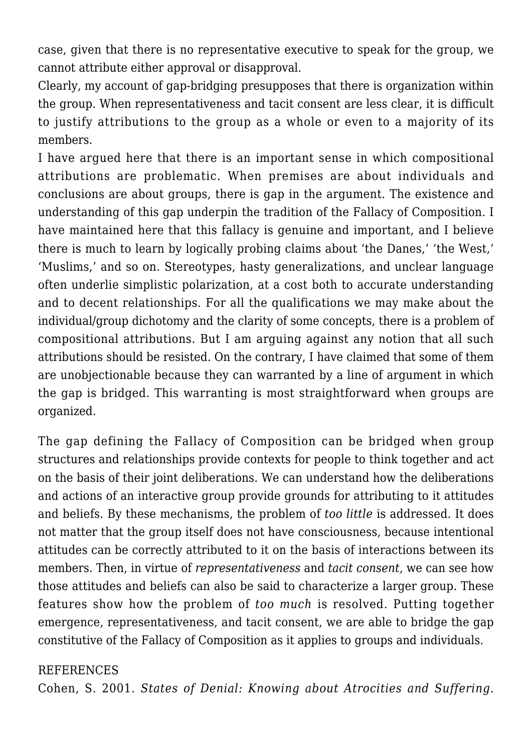case, given that there is no representative executive to speak for the group, we cannot attribute either approval or disapproval.

Clearly, my account of gap-bridging presupposes that there is organization within the group. When representativeness and tacit consent are less clear, it is difficult to justify attributions to the group as a whole or even to a majority of its members.

I have argued here that there is an important sense in which compositional attributions are problematic. When premises are about individuals and conclusions are about groups, there is gap in the argument. The existence and understanding of this gap underpin the tradition of the Fallacy of Composition. I have maintained here that this fallacy is genuine and important, and I believe there is much to learn by logically probing claims about 'the Danes,' 'the West,' 'Muslims,' and so on. Stereotypes, hasty generalizations, and unclear language often underlie simplistic polarization, at a cost both to accurate understanding and to decent relationships. For all the qualifications we may make about the individual/group dichotomy and the clarity of some concepts, there is a problem of compositional attributions. But I am arguing against any notion that all such attributions should be resisted. On the contrary, I have claimed that some of them are unobjectionable because they can warranted by a line of argument in which the gap is bridged. This warranting is most straightforward when groups are organized.

The gap defining the Fallacy of Composition can be bridged when group structures and relationships provide contexts for people to think together and act on the basis of their joint deliberations. We can understand how the deliberations and actions of an interactive group provide grounds for attributing to it attitudes and beliefs. By these mechanisms, the problem of *too little* is addressed. It does not matter that the group itself does not have consciousness, because intentional attitudes can be correctly attributed to it on the basis of interactions between its members. Then, in virtue of *representativeness* and *tacit consent,* we can see how those attitudes and beliefs can also be said to characterize a larger group. These features show how the problem of *too much* is resolved. Putting together emergence, representativeness, and tacit consent, we are able to bridge the gap constitutive of the Fallacy of Composition as it applies to groups and individuals.

#### REFERENCES

Cohen, S. 2001. *States of Denial: Knowing about Atrocities and Suffering*.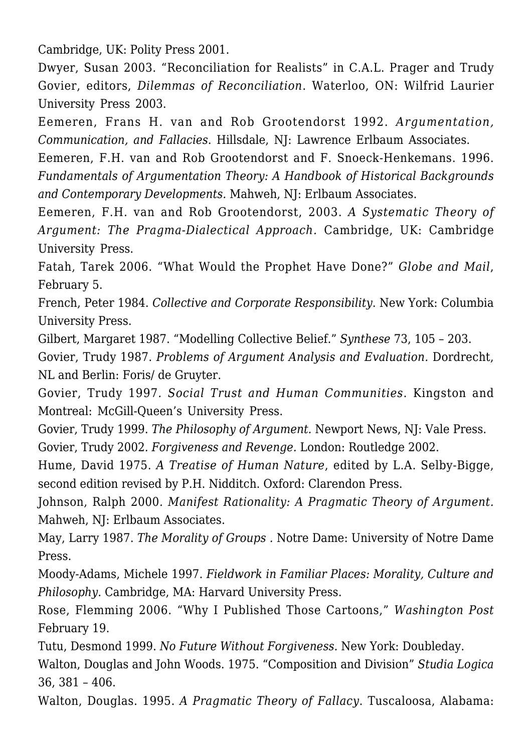Cambridge, UK: Polity Press 2001.

Dwyer, Susan 2003. "Reconciliation for Realists" in C.A.L. Prager and Trudy Govier, editors, *Dilemmas of Reconciliation*. Waterloo, ON: Wilfrid Laurier University Press 2003.

Eemeren, Frans H. van and Rob Grootendorst 1992. *Argumentation, Communication, and Fallacies*. Hillsdale, NJ: Lawrence Erlbaum Associates.

Eemeren, F.H. van and Rob Grootendorst and F. Snoeck-Henkemans. 1996. *Fundamentals of Argumentation Theory: A Handbook of Historical Backgrounds and Contemporary Developments.* Mahweh, NJ: Erlbaum Associates.

Eemeren, F.H. van and Rob Grootendorst, 2003. *A Systematic Theory of Argument: The Pragma-Dialectical Approach.* Cambridge, UK: Cambridge University Press.

Fatah, Tarek 2006. "What Would the Prophet Have Done?" *Globe and Mail*, February 5.

French, Peter 1984. *Collective and Corporate Responsibility*. New York: Columbia University Press.

Gilbert, Margaret 1987. "Modelling Collective Belief." *Synthese* 73, 105 – 203.

Govier, Trudy 1987. *Problems of Argument Analysis and Evaluation.* Dordrecht, NL and Berlin: Foris/ de Gruyter.

Govier, Trudy 1997*. Social Trust and Human Communities*. Kingston and Montreal: McGill-Queen's University Press.

Govier, Trudy 1999. *The Philosophy of Argument.* Newport News, NJ: Vale Press. Govier, Trudy 2002*. Forgiveness and Revenge.* London: Routledge 2002.

Hume, David 1975. *A Treatise of Human Nature*, edited by L.A. Selby-Bigge, second edition revised by P.H. Nidditch. Oxford: Clarendon Press.

Johnson, Ralph 2000*. Manifest Rationality: A Pragmatic Theory of Argument.* Mahweh, NJ: Erlbaum Associates.

May, Larry 1987. *The Morality of Groups .* Notre Dame: University of Notre Dame Press.

Moody-Adams, Michele 1997. *Fieldwork in Familiar Places: Morality, Culture and Philosophy*. Cambridge, MA: Harvard University Press.

Rose, Flemming 2006. "Why I Published Those Cartoons," *Washington Post* February 19.

Tutu, Desmond 1999. *No Future Without Forgiveness.* New York: Doubleday.

Walton, Douglas and John Woods. 1975. "Composition and Division" *Studia Logica* 36, 381 – 406.

Walton, Douglas. 1995. *A Pragmatic Theory of Fallacy*. Tuscaloosa, Alabama: